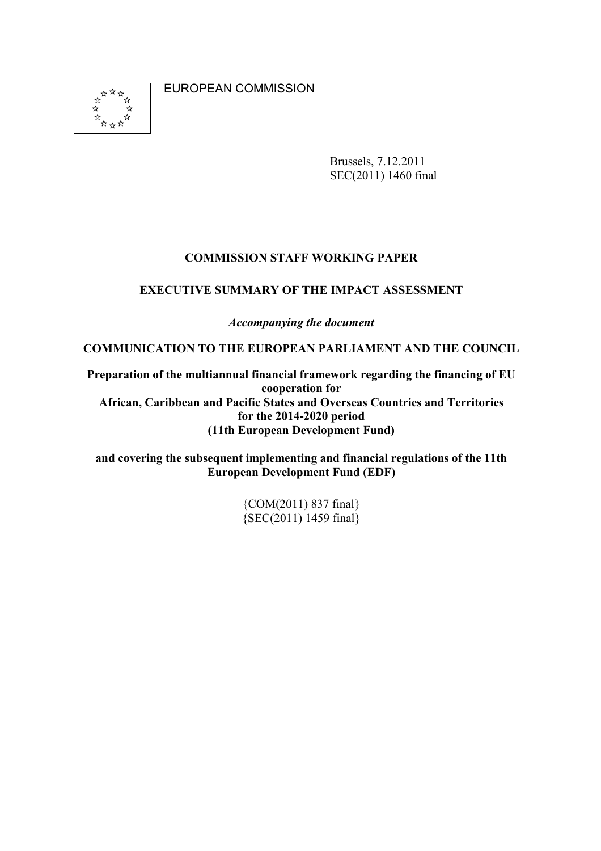EUROPEAN COMMISSION



Brussels, 7.12.2011 SEC(2011) 1460 final

### **COMMISSION STAFF WORKING PAPER**

#### **EXECUTIVE SUMMARY OF THE IMPACT ASSESSMENT**

*Accompanying the document* 

**COMMUNICATION TO THE EUROPEAN PARLIAMENT AND THE COUNCIL** 

**Preparation of the multiannual financial framework regarding the financing of EU cooperation for African, Caribbean and Pacific States and Overseas Countries and Territories for the 2014-2020 period (11th European Development Fund)** 

**and covering the subsequent implementing and financial regulations of the 11th European Development Fund (EDF)** 

> {COM(2011) 837 final} {SEC(2011) 1459 final}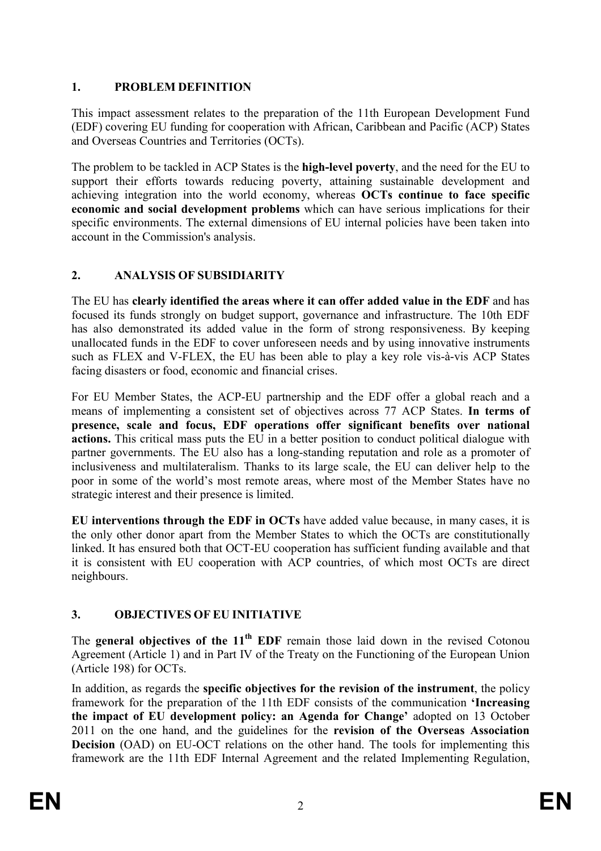## 1. **PROBLEM DEFINITION**

This impact assessment relates to the preparation of the 11th European Development Fund (EDF) covering EU funding for cooperation with African, Caribbean and Pacific (ACP) States and Overseas Countries and Territories (OCTs).

The problem to be tackled in ACP States is the **high-level poverty**, and the need for the EU to support their efforts towards reducing poverty, attaining sustainable development and achieving integration into the world economy, whereas **OCTs continue to face specific economic and social development problems** which can have serious implications for their specific environments. The external dimensions of EU internal policies have been taken into account in the Commission's analysis.

## **2. AALYSIS OF SUBSIDIARITY**

The EU has **clearly identified the areas where it can offer added value in the EDF** and has focused its funds strongly on budget support, governance and infrastructure. The 10th EDF has also demonstrated its added value in the form of strong responsiveness. By keeping unallocated funds in the EDF to cover unforeseen needs and by using innovative instruments such as FLEX and V-FLEX, the EU has been able to play a key role vis-à-vis ACP States facing disasters or food, economic and financial crises.

For EU Member States, the ACP-EU partnership and the EDF offer a global reach and a means of implementing a consistent set of objectives across 77 ACP States. **In terms of presence, scale and focus, EDF operations offer significant benefits over national actions.** This critical mass puts the EU in a better position to conduct political dialogue with partner governments. The EU also has a long-standing reputation and role as a promoter of inclusiveness and multilateralism. Thanks to its large scale, the EU can deliver help to the poor in some of the world's most remote areas, where most of the Member States have no strategic interest and their presence is limited.

**EU interventions through the EDF in OCTs** have added value because, in many cases, it is the only other donor apart from the Member States to which the OCTs are constitutionally linked. It has ensured both that OCT-EU cooperation has sufficient funding available and that it is consistent with EU cooperation with ACP countries, of which most OCTs are direct neighbours.

# **3. OBJECTIVES OF EU IITIATIVE**

The **general objectives of the 11th EDF** remain those laid down in the revised Cotonou Agreement (Article 1) and in Part IV of the Treaty on the Functioning of the European Union (Article 198) for OCTs.

In addition, as regards the **specific objectives for the revision of the instrument**, the policy framework for the preparation of the 11th EDF consists of the communication **'Increasing the impact of EU development policy: an Agenda for Change'** adopted on 13 October 2011 on the one hand, and the guidelines for the **revision of the Overseas Association Decision** (OAD) on EU-OCT relations on the other hand. The tools for implementing this framework are the 11th EDF Internal Agreement and the related Implementing Regulation,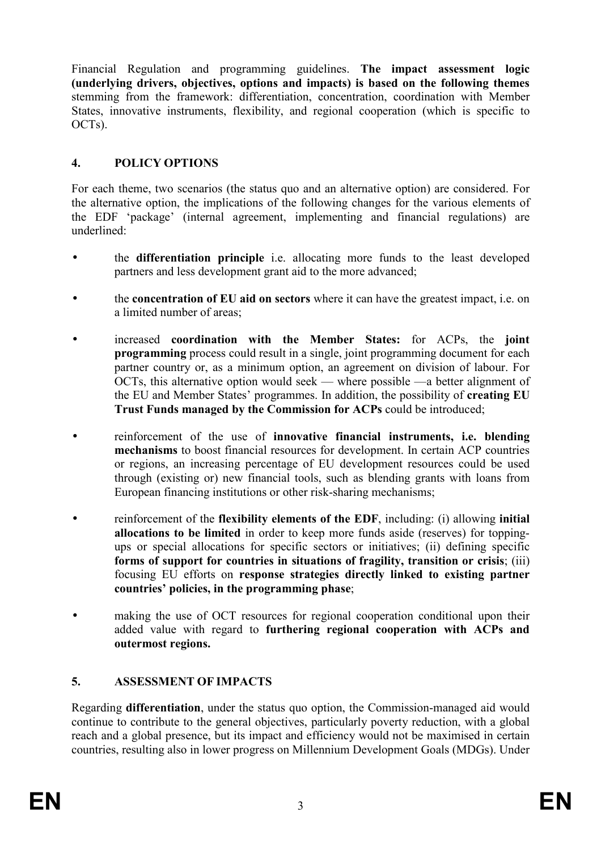Financial Regulation and programming guidelines. **The impact assessment logic (underlying drivers, objectives, options and impacts) is based on the following themes**  stemming from the framework: differentiation, concentration, coordination with Member States, innovative instruments, flexibility, and regional cooperation (which is specific to OCTs).

## **4. POLICY OPTIOS**

For each theme, two scenarios (the status quo and an alternative option) are considered. For the alternative option, the implications of the following changes for the various elements of the EDF 'package' (internal agreement, implementing and financial regulations) are underlined:

- the **differentiation principle** i.e. allocating more funds to the least developed partners and less development grant aid to the more advanced;
- the **concentration of EU aid on sectors** where it can have the greatest impact, i.e. on a limited number of areas;
- increased **coordination with the Member States:** for ACPs, the **joint programming** process could result in a single, joint programming document for each partner country or, as a minimum option, an agreement on division of labour. For OCTs, this alternative option would seek — where possible —a better alignment of the EU and Member States' programmes. In addition, the possibility of **creating EU Trust Funds managed by the Commission for ACPs** could be introduced;
- reinforcement of the use of **innovative financial instruments, i.e. blending mechanisms** to boost financial resources for development. In certain ACP countries or regions, an increasing percentage of EU development resources could be used through (existing or) new financial tools, such as blending grants with loans from European financing institutions or other risk-sharing mechanisms;
- reinforcement of the **flexibility elements of the EDF**, including: (i) allowing **initial allocations to be limited** in order to keep more funds aside (reserves) for toppingups or special allocations for specific sectors or initiatives; (ii) defining specific **forms of support for countries in situations of fragility, transition or crisis**; (iii) focusing EU efforts on **response strategies directly linked to existing partner countries' policies, in the programming phase**;
- making the use of OCT resources for regional cooperation conditional upon their added value with regard to **furthering regional cooperation with ACPs and outermost regions.**

## **5. ASSESSMET OF IMPACTS**

Regarding **differentiation**, under the status quo option, the Commission-managed aid would continue to contribute to the general objectives, particularly poverty reduction, with a global reach and a global presence, but its impact and efficiency would not be maximised in certain countries, resulting also in lower progress on Millennium Development Goals (MDGs). Under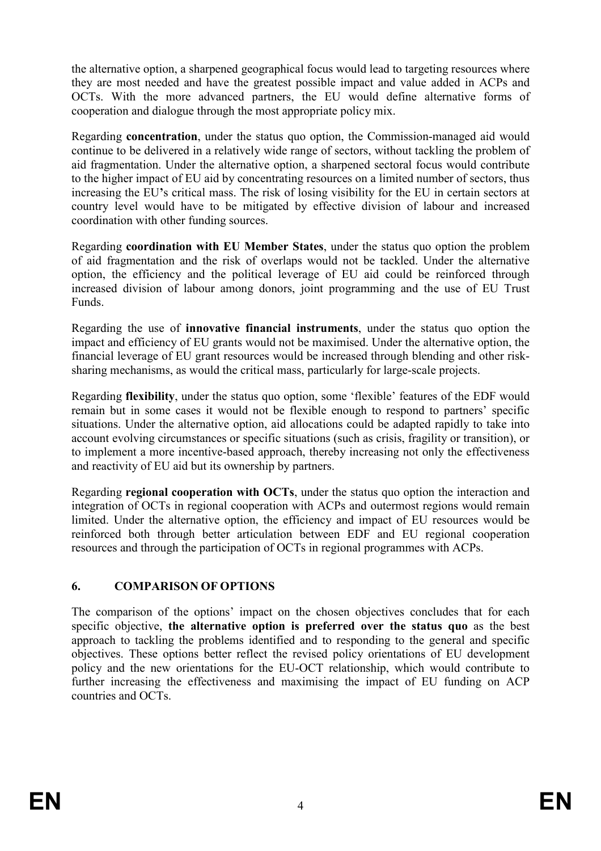the alternative option, a sharpened geographical focus would lead to targeting resources where they are most needed and have the greatest possible impact and value added in ACPs and OCTs. With the more advanced partners, the EU would define alternative forms of cooperation and dialogue through the most appropriate policy mix.

Regarding **concentration**, under the status quo option, the Commission-managed aid would continue to be delivered in a relatively wide range of sectors, without tackling the problem of aid fragmentation. Under the alternative option, a sharpened sectoral focus would contribute to the higher impact of EU aid by concentrating resources on a limited number of sectors, thus increasing the EU**'**s critical mass. The risk of losing visibility for the EU in certain sectors at country level would have to be mitigated by effective division of labour and increased coordination with other funding sources.

Regarding **coordination with EU Member States**, under the status quo option the problem of aid fragmentation and the risk of overlaps would not be tackled. Under the alternative option, the efficiency and the political leverage of EU aid could be reinforced through increased division of labour among donors, joint programming and the use of EU Trust Funds.

Regarding the use of **innovative financial instruments**, under the status quo option the impact and efficiency of EU grants would not be maximised. Under the alternative option, the financial leverage of EU grant resources would be increased through blending and other risksharing mechanisms, as would the critical mass, particularly for large-scale projects.

Regarding **flexibility**, under the status quo option, some 'flexible' features of the EDF would remain but in some cases it would not be flexible enough to respond to partners' specific situations. Under the alternative option, aid allocations could be adapted rapidly to take into account evolving circumstances or specific situations (such as crisis, fragility or transition), or to implement a more incentive-based approach, thereby increasing not only the effectiveness and reactivity of EU aid but its ownership by partners.

Regarding **regional cooperation with OCTs**, under the status quo option the interaction and integration of OCTs in regional cooperation with ACPs and outermost regions would remain limited. Under the alternative option, the efficiency and impact of EU resources would be reinforced both through better articulation between EDF and EU regional cooperation resources and through the participation of OCTs in regional programmes with ACPs.

## **6. COMPARISO OF OPTIOS**

The comparison of the options' impact on the chosen objectives concludes that for each specific objective, **the alternative option is preferred over the status quo** as the best approach to tackling the problems identified and to responding to the general and specific objectives. These options better reflect the revised policy orientations of EU development policy and the new orientations for the EU-OCT relationship, which would contribute to further increasing the effectiveness and maximising the impact of EU funding on ACP countries and OCTs.